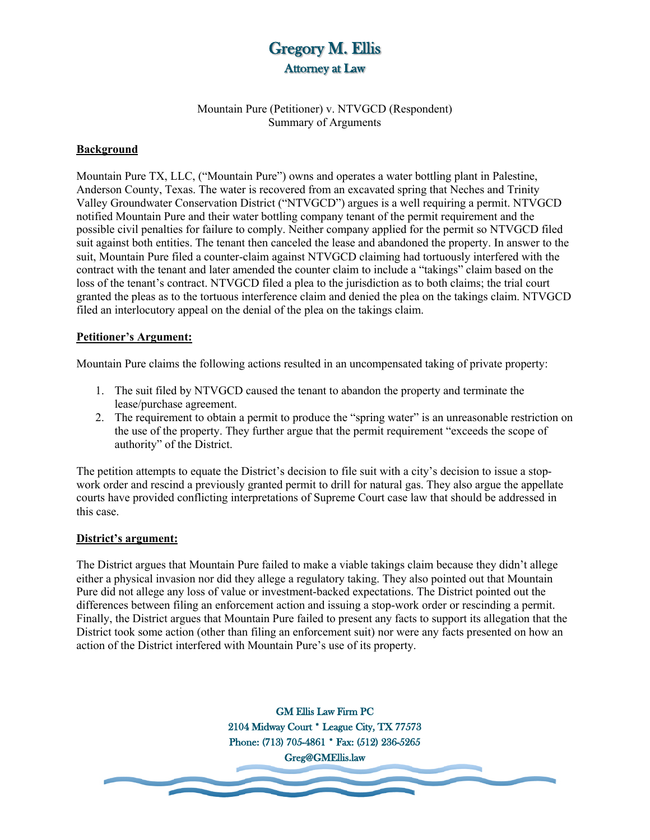# Gregory M. Ellis Attorney at Law

Mountain Pure (Petitioner) v. NTVGCD (Respondent) Summary of Arguments

## **Background**

Mountain Pure TX, LLC, ("Mountain Pure") owns and operates a water bottling plant in Palestine, Anderson County, Texas. The water is recovered from an excavated spring that Neches and Trinity Valley Groundwater Conservation District ("NTVGCD") argues is a well requiring a permit. NTVGCD notified Mountain Pure and their water bottling company tenant of the permit requirement and the possible civil penalties for failure to comply. Neither company applied for the permit so NTVGCD filed suit against both entities. The tenant then canceled the lease and abandoned the property. In answer to the suit, Mountain Pure filed a counter-claim against NTVGCD claiming had tortuously interfered with the contract with the tenant and later amended the counter claim to include a "takings" claim based on the loss of the tenant's contract. NTVGCD filed a plea to the jurisdiction as to both claims; the trial court granted the pleas as to the tortuous interference claim and denied the plea on the takings claim. NTVGCD filed an interlocutory appeal on the denial of the plea on the takings claim.

### **Petitioner's Argument:**

Mountain Pure claims the following actions resulted in an uncompensated taking of private property:

- 1. The suit filed by NTVGCD caused the tenant to abandon the property and terminate the lease/purchase agreement.
- 2. The requirement to obtain a permit to produce the "spring water" is an unreasonable restriction on the use of the property. They further argue that the permit requirement "exceeds the scope of authority" of the District.

The petition attempts to equate the District's decision to file suit with a city's decision to issue a stopwork order and rescind a previously granted permit to drill for natural gas. They also argue the appellate courts have provided conflicting interpretations of Supreme Court case law that should be addressed in this case.

### **District's argument:**

The District argues that Mountain Pure failed to make a viable takings claim because they didn't allege either a physical invasion nor did they allege a regulatory taking. They also pointed out that Mountain Pure did not allege any loss of value or investment-backed expectations. The District pointed out the differences between filing an enforcement action and issuing a stop-work order or rescinding a permit. Finally, the District argues that Mountain Pure failed to present any facts to support its allegation that the District took some action (other than filing an enforcement suit) nor were any facts presented on how an action of the District interfered with Mountain Pure's use of its property.

> GM Ellis Law Firm PC 2104 Midway Court \* League City, TX 77573 Phone: (713) 705-4861 \* Fax: (512) 236-5265 Greg@GMEllis.law

> > l j